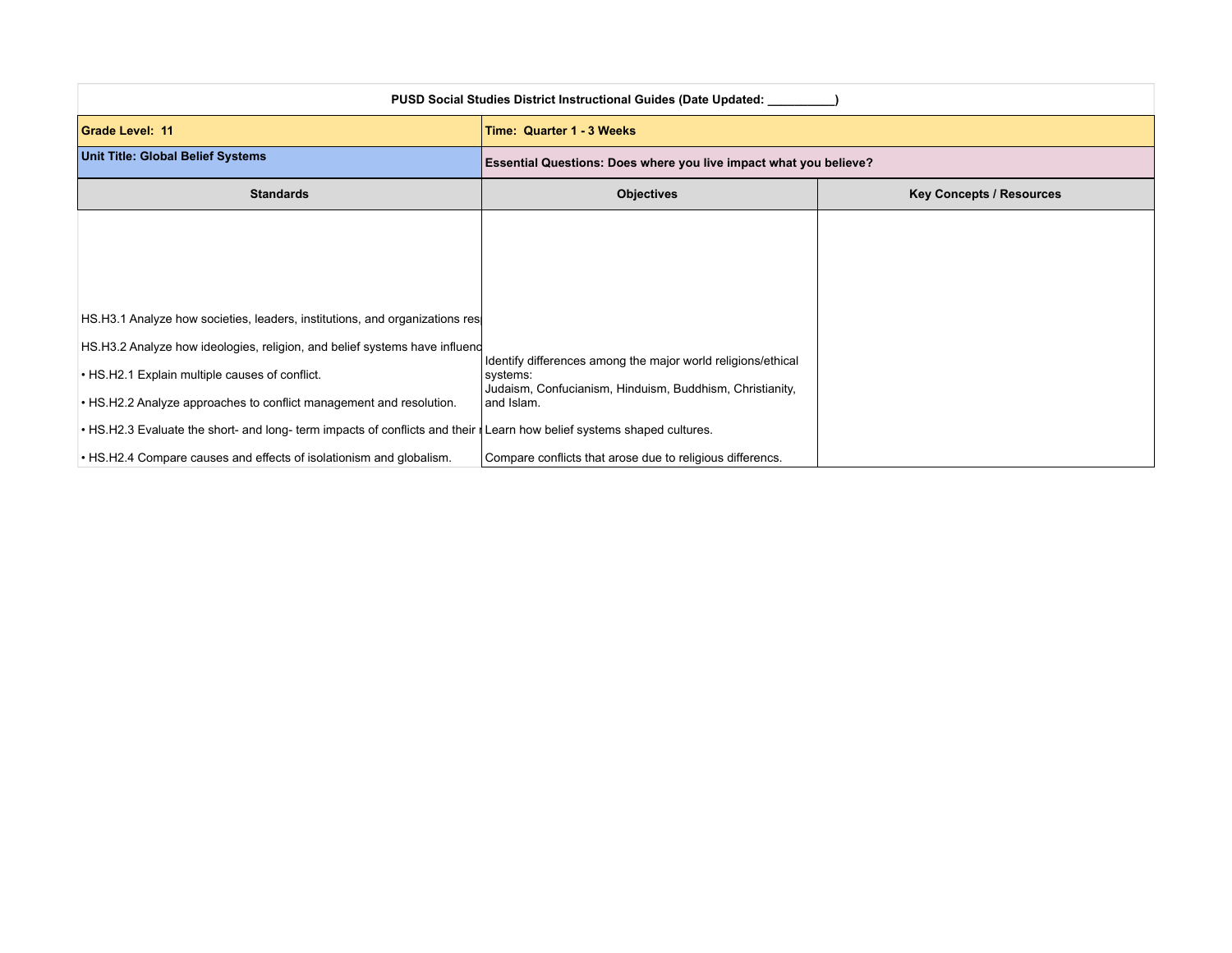| <b>PUSD Social Studies District Instructional Guides (Date Updated:</b>                                                           |                                                                          |                                 |
|-----------------------------------------------------------------------------------------------------------------------------------|--------------------------------------------------------------------------|---------------------------------|
| <b>Grade Level: 11</b>                                                                                                            | Time: Quarter 1 - 3 Weeks                                                |                                 |
| <b>Unit Title: Global Belief Systems</b>                                                                                          | Essential Questions: Does where you live impact what you believe?        |                                 |
| <b>Standards</b>                                                                                                                  | <b>Objectives</b>                                                        | <b>Key Concepts / Resources</b> |
|                                                                                                                                   |                                                                          |                                 |
|                                                                                                                                   |                                                                          |                                 |
|                                                                                                                                   |                                                                          |                                 |
| HS.H3.1 Analyze how societies, leaders, institutions, and organizations res                                                       |                                                                          |                                 |
| HS.H3.2 Analyze how ideologies, religion, and belief systems have influend                                                        |                                                                          |                                 |
| • HS.H2.1 Explain multiple causes of conflict.                                                                                    | Identify differences among the major world religions/ethical<br>systems: |                                 |
| • HS.H2.2 Analyze approaches to conflict management and resolution.                                                               | Judaism, Confucianism, Hinduism, Buddhism, Christianity,<br>and Islam.   |                                 |
| • HS.H2.3 Evaluate the short- and long- term impacts of conflicts and their $\parallel$ Learn how belief systems shaped cultures. |                                                                          |                                 |
| • HS.H2.4 Compare causes and effects of isolationism and globalism.                                                               | Compare conflicts that arose due to religious differencs.                |                                 |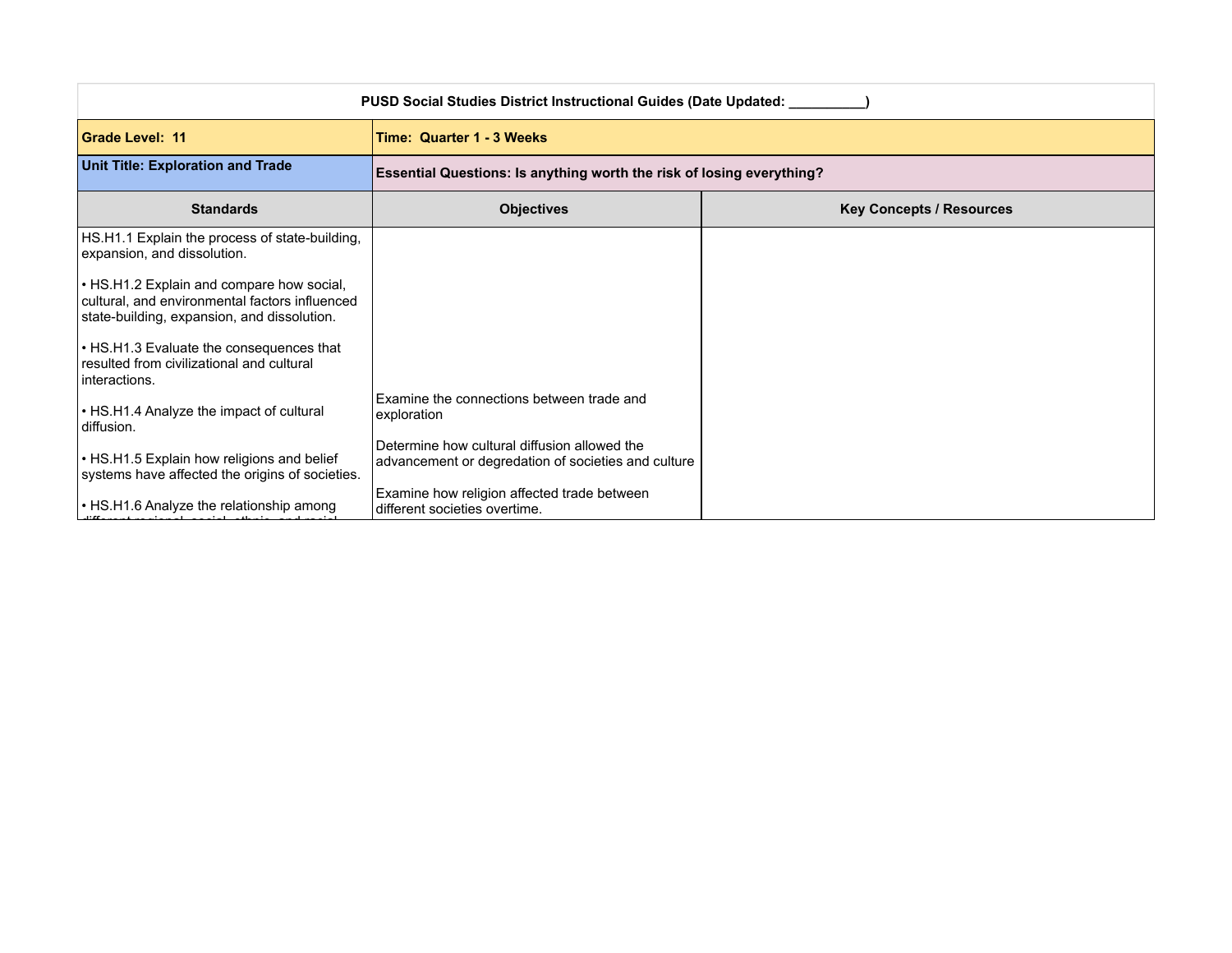| PUSD Social Studies District Instructional Guides (Date Updated: ____                                                                      |                                                                                                     |                                 |
|--------------------------------------------------------------------------------------------------------------------------------------------|-----------------------------------------------------------------------------------------------------|---------------------------------|
| <b>Grade Level: 11</b>                                                                                                                     | Time: Quarter 1 - 3 Weeks                                                                           |                                 |
| <b>Unit Title: Exploration and Trade</b>                                                                                                   | Essential Questions: Is anything worth the risk of losing everything?                               |                                 |
| <b>Standards</b>                                                                                                                           | <b>Objectives</b>                                                                                   | <b>Key Concepts / Resources</b> |
| HS.H1.1 Explain the process of state-building,<br>expansion, and dissolution.                                                              |                                                                                                     |                                 |
| • HS.H1.2 Explain and compare how social,<br>cultural, and environmental factors influenced<br>state-building, expansion, and dissolution. |                                                                                                     |                                 |
| • HS.H1.3 Evaluate the consequences that<br>resulted from civilizational and cultural<br>interactions.                                     |                                                                                                     |                                 |
| • HS.H1.4 Analyze the impact of cultural<br>diffusion.                                                                                     | Examine the connections between trade and<br>exploration                                            |                                 |
| • HS.H1.5 Explain how religions and belief<br>systems have affected the origins of societies.                                              | Determine how cultural diffusion allowed the<br>advancement or degredation of societies and culture |                                 |
| • HS.H1.6 Analyze the relationship among                                                                                                   | Examine how religion affected trade between<br>different societies overtime.                        |                                 |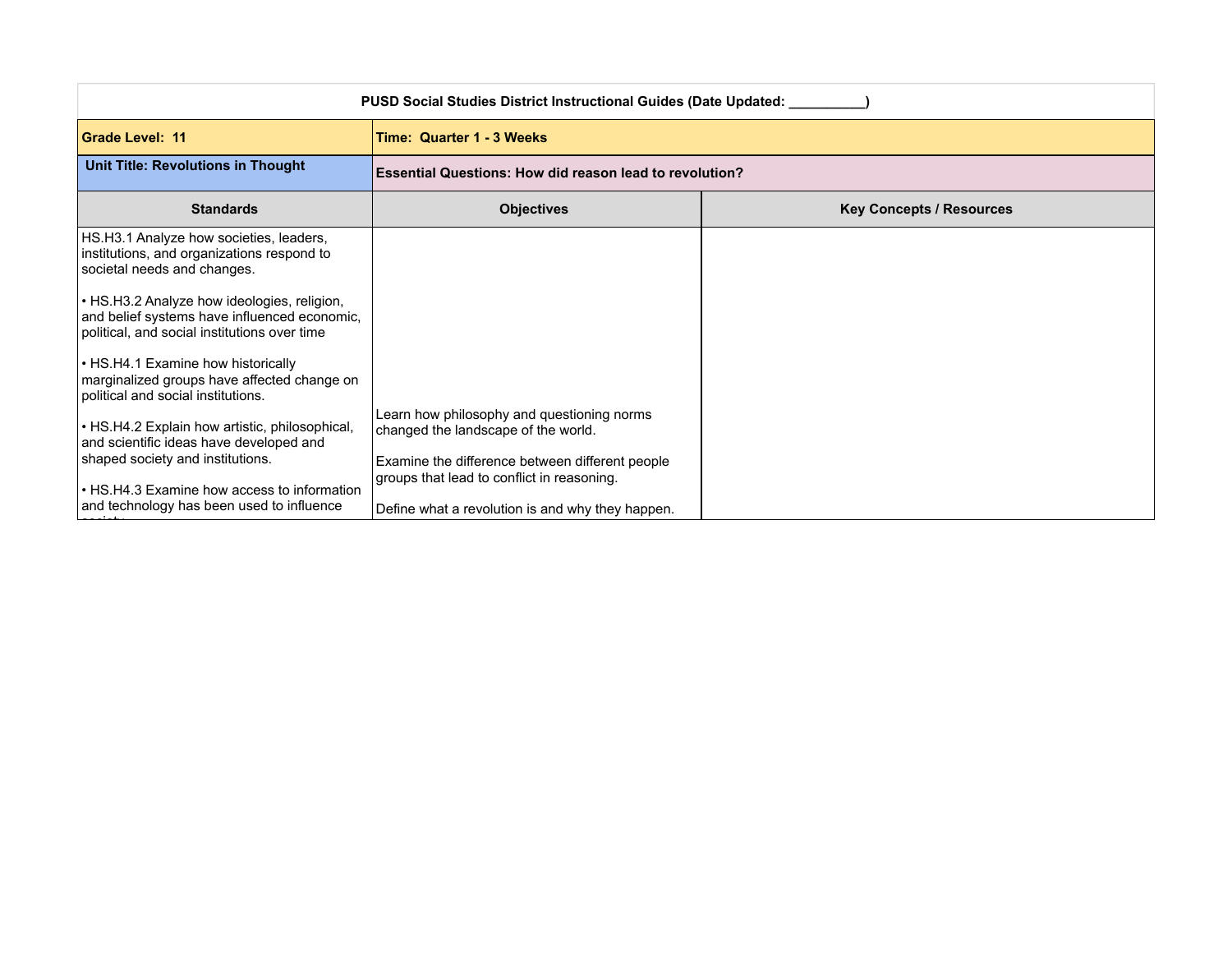| <b>PUSD Social Studies District Instructional Guides (Date Updated:</b>                                                                     |                                                                                                                                                                                    |                                 |
|---------------------------------------------------------------------------------------------------------------------------------------------|------------------------------------------------------------------------------------------------------------------------------------------------------------------------------------|---------------------------------|
| <b>Grade Level: 11</b>                                                                                                                      | Time: Quarter 1 - 3 Weeks                                                                                                                                                          |                                 |
| Unit Title: Revolutions in Thought                                                                                                          | <b>Essential Questions: How did reason lead to revolution?</b>                                                                                                                     |                                 |
| <b>Standards</b>                                                                                                                            | <b>Objectives</b>                                                                                                                                                                  | <b>Key Concepts / Resources</b> |
| HS.H3.1 Analyze how societies, leaders,<br>institutions, and organizations respond to<br>societal needs and changes.                        |                                                                                                                                                                                    |                                 |
| • HS.H3.2 Analyze how ideologies, religion,<br>and belief systems have influenced economic,<br>political, and social institutions over time |                                                                                                                                                                                    |                                 |
| • HS.H4.1 Examine how historically<br>marginalized groups have affected change on<br>political and social institutions.                     |                                                                                                                                                                                    |                                 |
| • HS.H4.2 Explain how artistic, philosophical,<br>and scientific ideas have developed and<br>shaped society and institutions.               | Learn how philosophy and questioning norms<br>changed the landscape of the world.<br>Examine the difference between different people<br>groups that lead to conflict in reasoning. |                                 |
| • HS.H4.3 Examine how access to information<br>and technology has been used to influence                                                    | Define what a revolution is and why they happen.                                                                                                                                   |                                 |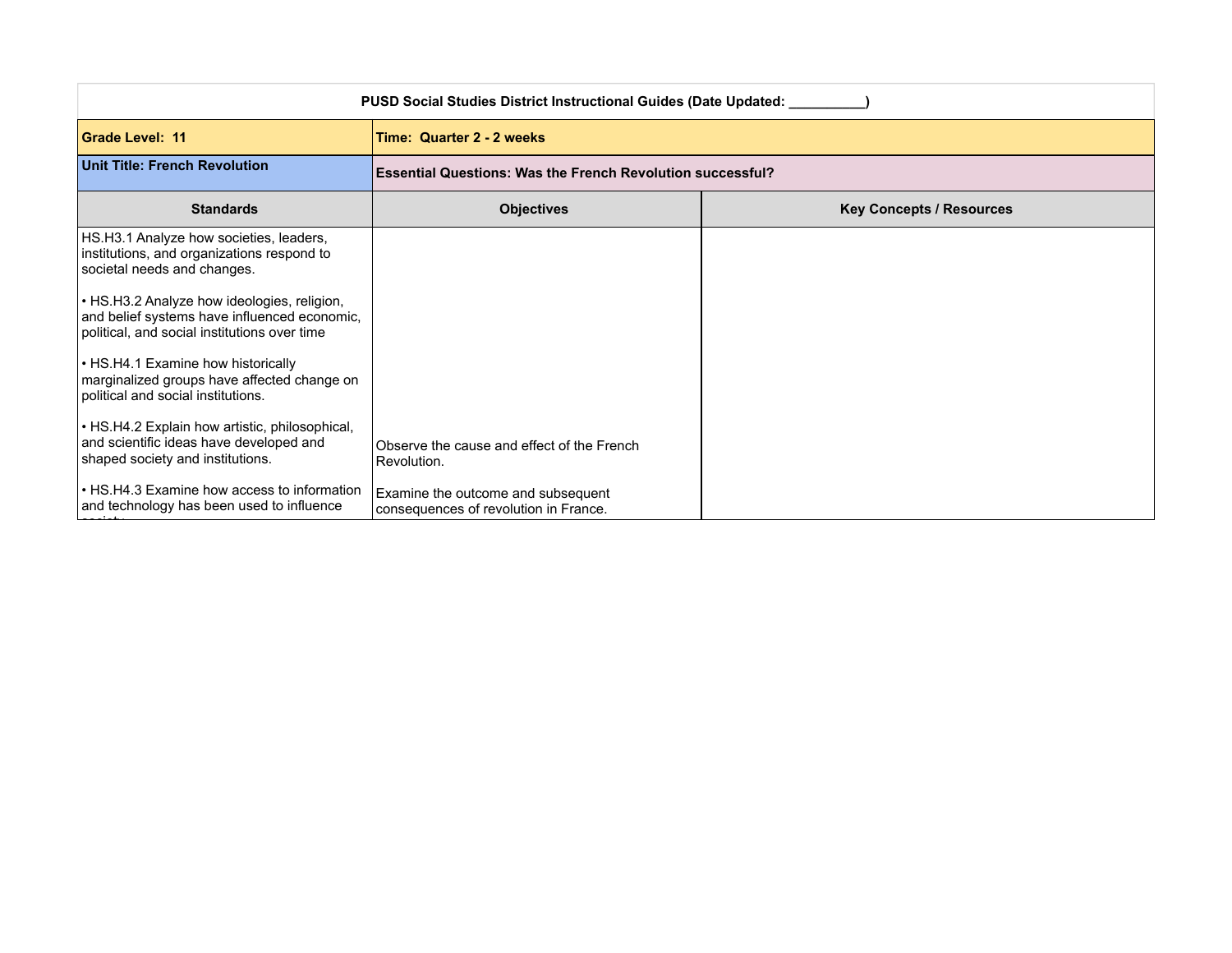| <b>PUSD Social Studies District Instructional Guides (Date Updated: __</b>                                                                  |                                                                             |                                                                   |  |
|---------------------------------------------------------------------------------------------------------------------------------------------|-----------------------------------------------------------------------------|-------------------------------------------------------------------|--|
| <b>Grade Level: 11</b>                                                                                                                      | Time: Quarter 2 - 2 weeks                                                   |                                                                   |  |
| Unit Title: French Revolution                                                                                                               |                                                                             | <b>Essential Questions: Was the French Revolution successful?</b> |  |
| <b>Standards</b>                                                                                                                            | <b>Objectives</b>                                                           | <b>Key Concepts / Resources</b>                                   |  |
| HS.H3.1 Analyze how societies, leaders,<br>institutions, and organizations respond to<br>societal needs and changes.                        |                                                                             |                                                                   |  |
| . HS.H3.2 Analyze how ideologies, religion,<br>and belief systems have influenced economic,<br>political, and social institutions over time |                                                                             |                                                                   |  |
| • HS.H4.1 Examine how historically<br>marginalized groups have affected change on<br>political and social institutions.                     |                                                                             |                                                                   |  |
| • HS.H4.2 Explain how artistic, philosophical,<br>and scientific ideas have developed and<br>shaped society and institutions.               | Observe the cause and effect of the French<br>Revolution.                   |                                                                   |  |
| • HS.H4.3 Examine how access to information<br>and technology has been used to influence                                                    | Examine the outcome and subsequent<br>consequences of revolution in France. |                                                                   |  |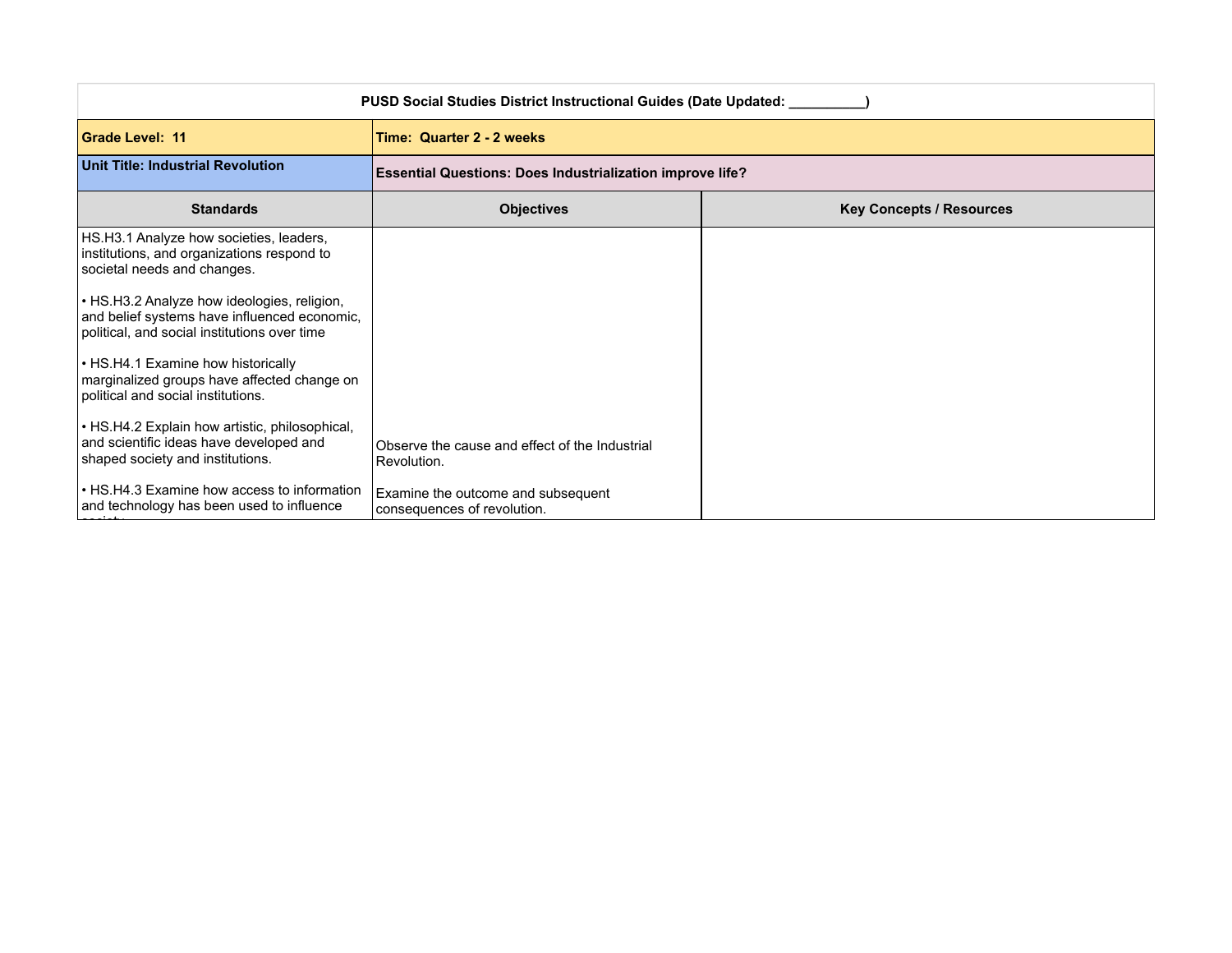| PUSD Social Studies District Instructional Guides (Date Updated: ____                                                                       |                                                                   |                                                                  |  |
|---------------------------------------------------------------------------------------------------------------------------------------------|-------------------------------------------------------------------|------------------------------------------------------------------|--|
| <b>Grade Level: 11</b>                                                                                                                      | Time: Quarter 2 - 2 weeks                                         |                                                                  |  |
| <b>Unit Title: Industrial Revolution</b>                                                                                                    |                                                                   | <b>Essential Questions: Does Industrialization improve life?</b> |  |
| <b>Standards</b>                                                                                                                            | <b>Objectives</b>                                                 | <b>Key Concepts / Resources</b>                                  |  |
| HS.H3.1 Analyze how societies, leaders,<br>institutions, and organizations respond to<br>societal needs and changes.                        |                                                                   |                                                                  |  |
| • HS.H3.2 Analyze how ideologies, religion,<br>and belief systems have influenced economic,<br>political, and social institutions over time |                                                                   |                                                                  |  |
| • HS.H4.1 Examine how historically<br>marginalized groups have affected change on<br>political and social institutions.                     |                                                                   |                                                                  |  |
| • HS.H4.2 Explain how artistic, philosophical,<br>and scientific ideas have developed and<br>shaped society and institutions.               | Observe the cause and effect of the Industrial<br>Revolution.     |                                                                  |  |
| • HS.H4.3 Examine how access to information<br>and technology has been used to influence                                                    | Examine the outcome and subsequent<br>consequences of revolution. |                                                                  |  |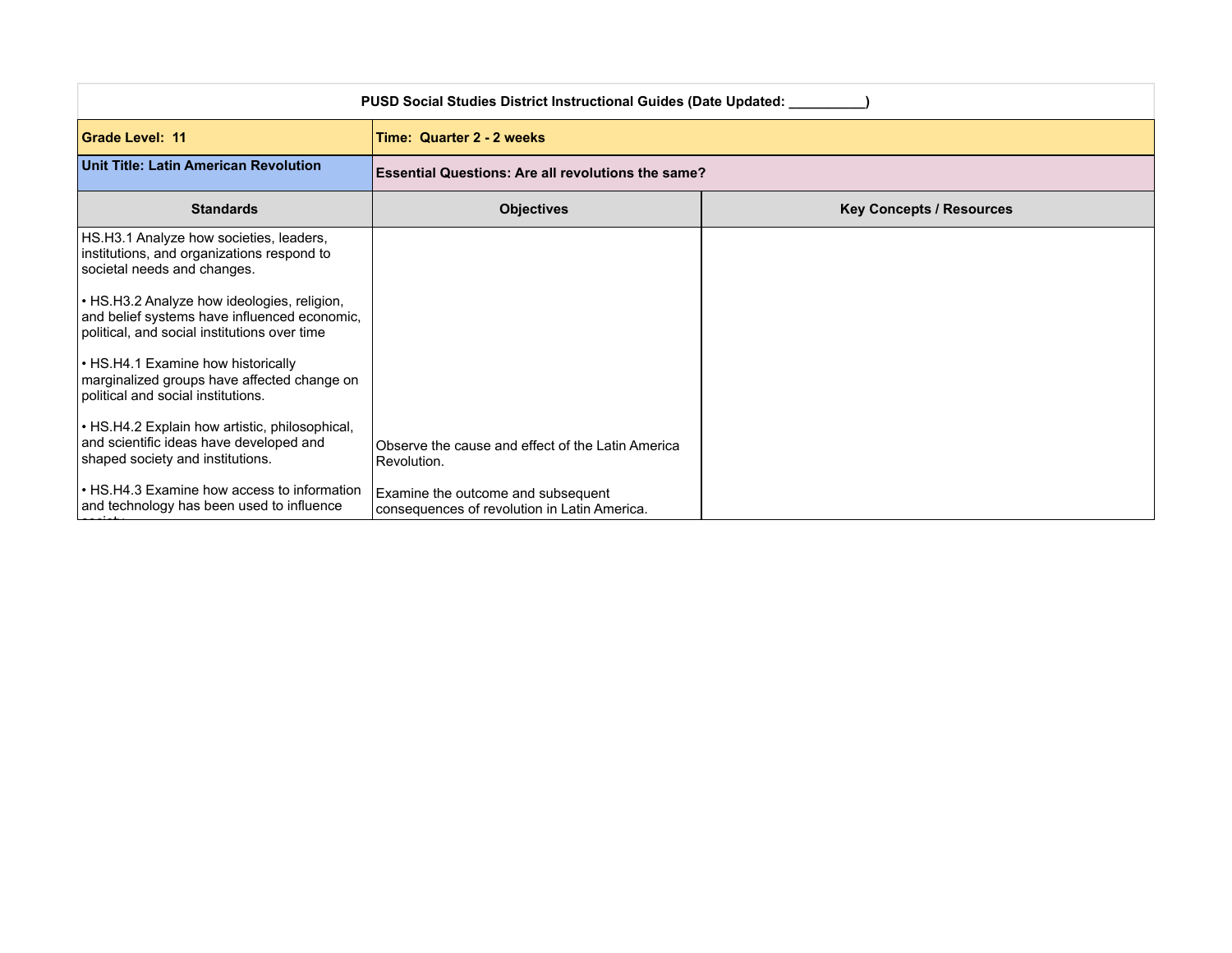| PUSD Social Studies District Instructional Guides (Date Updated: ____                                                                       |                                                                                    |                                 |
|---------------------------------------------------------------------------------------------------------------------------------------------|------------------------------------------------------------------------------------|---------------------------------|
| <b>Grade Level: 11</b>                                                                                                                      | Time: Quarter 2 - 2 weeks                                                          |                                 |
| Unit Title: Latin American Revolution                                                                                                       | <b>Essential Questions: Are all revolutions the same?</b>                          |                                 |
| <b>Standards</b>                                                                                                                            | <b>Objectives</b>                                                                  | <b>Key Concepts / Resources</b> |
| HS.H3.1 Analyze how societies, leaders,<br>institutions, and organizations respond to<br>societal needs and changes.                        |                                                                                    |                                 |
| • HS.H3.2 Analyze how ideologies, religion,<br>and belief systems have influenced economic,<br>political, and social institutions over time |                                                                                    |                                 |
| • HS.H4.1 Examine how historically<br>marginalized groups have affected change on<br>political and social institutions.                     |                                                                                    |                                 |
| • HS.H4.2 Explain how artistic, philosophical,<br>and scientific ideas have developed and<br>shaped society and institutions.               | Observe the cause and effect of the Latin America<br>Revolution.                   |                                 |
| • HS.H4.3 Examine how access to information<br>and technology has been used to influence                                                    | Examine the outcome and subsequent<br>consequences of revolution in Latin America. |                                 |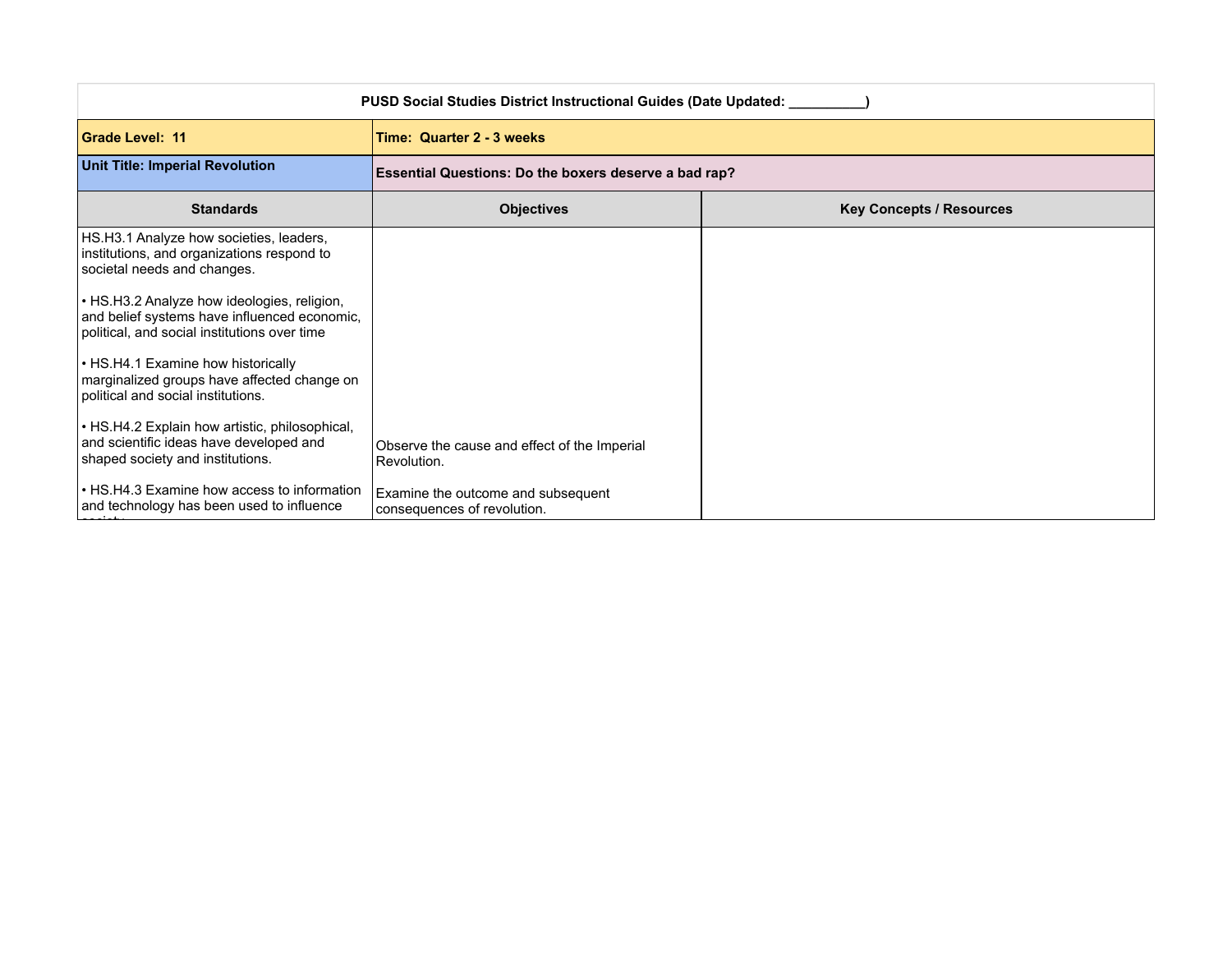| PUSD Social Studies District Instructional Guides (Date Updated: ___                                                                        |                                                                   |                                                       |  |
|---------------------------------------------------------------------------------------------------------------------------------------------|-------------------------------------------------------------------|-------------------------------------------------------|--|
| <b>Grade Level: 11</b>                                                                                                                      | Time: Quarter 2 - 3 weeks                                         |                                                       |  |
| <b>Unit Title: Imperial Revolution</b>                                                                                                      |                                                                   | Essential Questions: Do the boxers deserve a bad rap? |  |
| <b>Standards</b>                                                                                                                            | <b>Objectives</b>                                                 | <b>Key Concepts / Resources</b>                       |  |
| HS.H3.1 Analyze how societies, leaders,<br>institutions, and organizations respond to<br>societal needs and changes.                        |                                                                   |                                                       |  |
| • HS.H3.2 Analyze how ideologies, religion,<br>and belief systems have influenced economic,<br>political, and social institutions over time |                                                                   |                                                       |  |
| • HS.H4.1 Examine how historically<br>marginalized groups have affected change on<br>political and social institutions.                     |                                                                   |                                                       |  |
| • HS.H4.2 Explain how artistic, philosophical,<br>and scientific ideas have developed and<br>shaped society and institutions.               | Observe the cause and effect of the Imperial<br>Revolution.       |                                                       |  |
| • HS.H4.3 Examine how access to information<br>and technology has been used to influence                                                    | Examine the outcome and subsequent<br>consequences of revolution. |                                                       |  |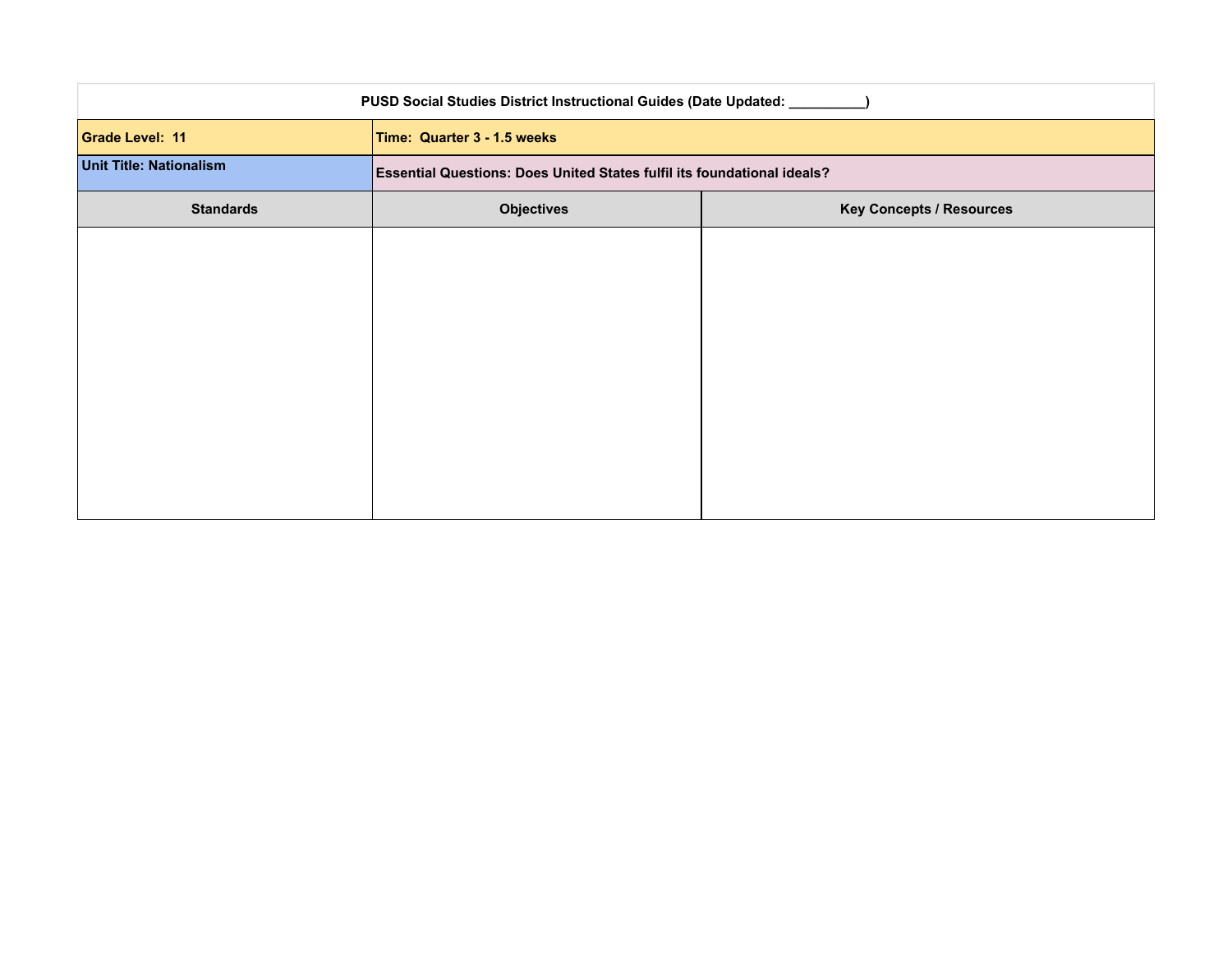| PUSD Social Studies District Instructional Guides (Date Updated: _____ |                                                                         |  |
|------------------------------------------------------------------------|-------------------------------------------------------------------------|--|
| Grade Level: 11                                                        | Time: Quarter 3 - 1.5 weeks                                             |  |
| <b>Unit Title: Nationalism</b>                                         | Essential Questions: Does United States fulfil its foundational ideals? |  |
| <b>Standards</b>                                                       | <b>Key Concepts / Resources</b><br><b>Objectives</b>                    |  |
|                                                                        |                                                                         |  |
|                                                                        |                                                                         |  |
|                                                                        |                                                                         |  |
|                                                                        |                                                                         |  |
|                                                                        |                                                                         |  |
|                                                                        |                                                                         |  |
|                                                                        |                                                                         |  |
|                                                                        |                                                                         |  |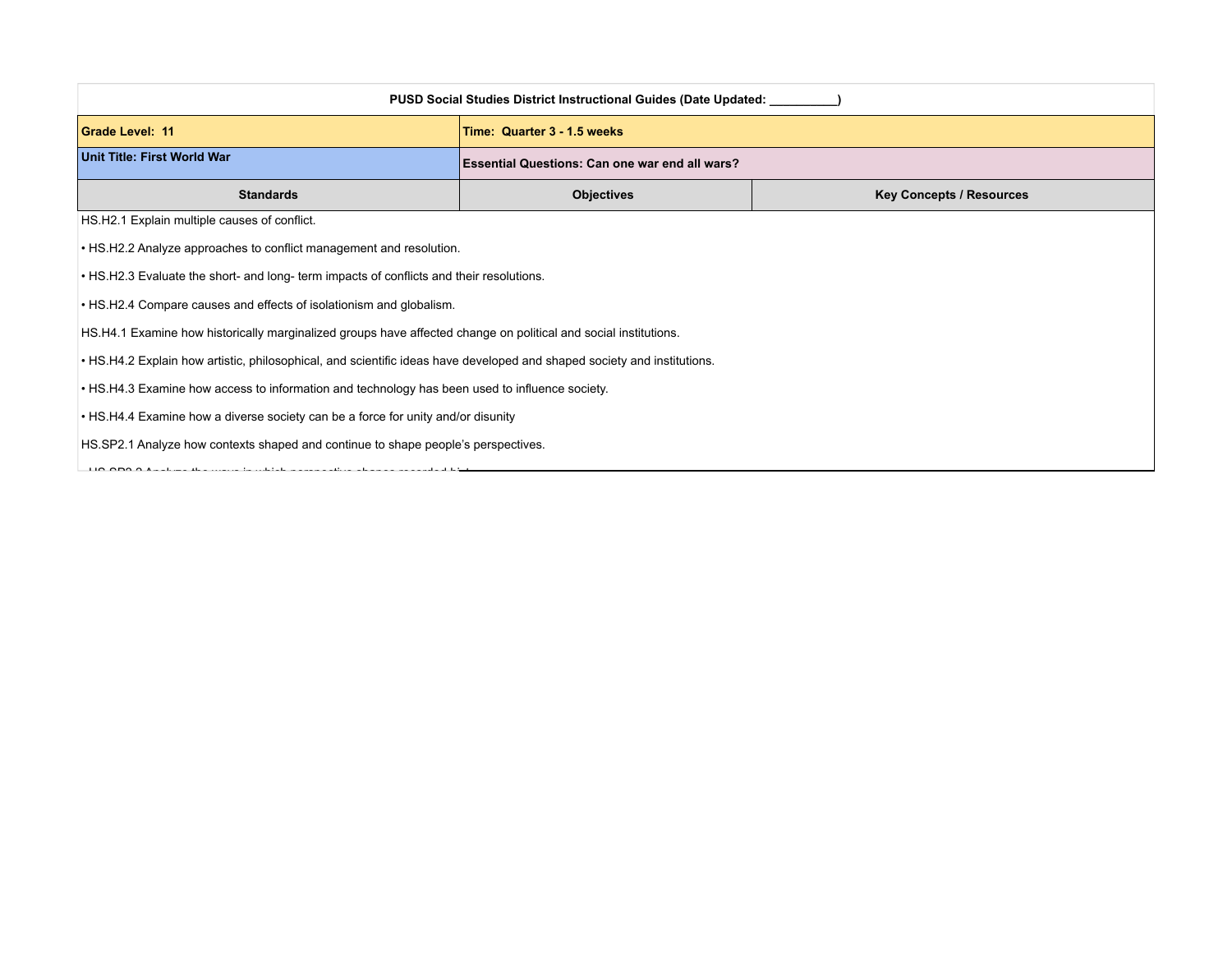| <b>PUSD Social Studies District Instructional Guides (Date Updated:</b>                                                 |                                                       |                                 |
|-------------------------------------------------------------------------------------------------------------------------|-------------------------------------------------------|---------------------------------|
| Grade Level: 11                                                                                                         | Time: Quarter 3 - 1.5 weeks                           |                                 |
| Unit Title: First World War                                                                                             | <b>Essential Questions: Can one war end all wars?</b> |                                 |
| <b>Standards</b>                                                                                                        | <b>Objectives</b>                                     | <b>Key Concepts / Resources</b> |
| HS.H2.1 Explain multiple causes of conflict.                                                                            |                                                       |                                 |
| • HS.H2.2 Analyze approaches to conflict management and resolution.                                                     |                                                       |                                 |
| . HS.H2.3 Evaluate the short- and long- term impacts of conflicts and their resolutions.                                |                                                       |                                 |
| • HS.H2.4 Compare causes and effects of isolationism and globalism.                                                     |                                                       |                                 |
| HS.H4.1 Examine how historically marginalized groups have affected change on political and social institutions.         |                                                       |                                 |
| • HS.H4.2 Explain how artistic, philosophical, and scientific ideas have developed and shaped society and institutions. |                                                       |                                 |
| • HS.H4.3 Examine how access to information and technology has been used to influence society.                          |                                                       |                                 |
| • HS.H4.4 Examine how a diverse society can be a force for unity and/or disunity                                        |                                                       |                                 |
| HS.SP2.1 Analyze how contexts shaped and continue to shape people's perspectives.                                       |                                                       |                                 |

 $\frac{1}{2}$  HS. SP2.2 Analyze the waves recorded history. In which perspective shapes recorded history.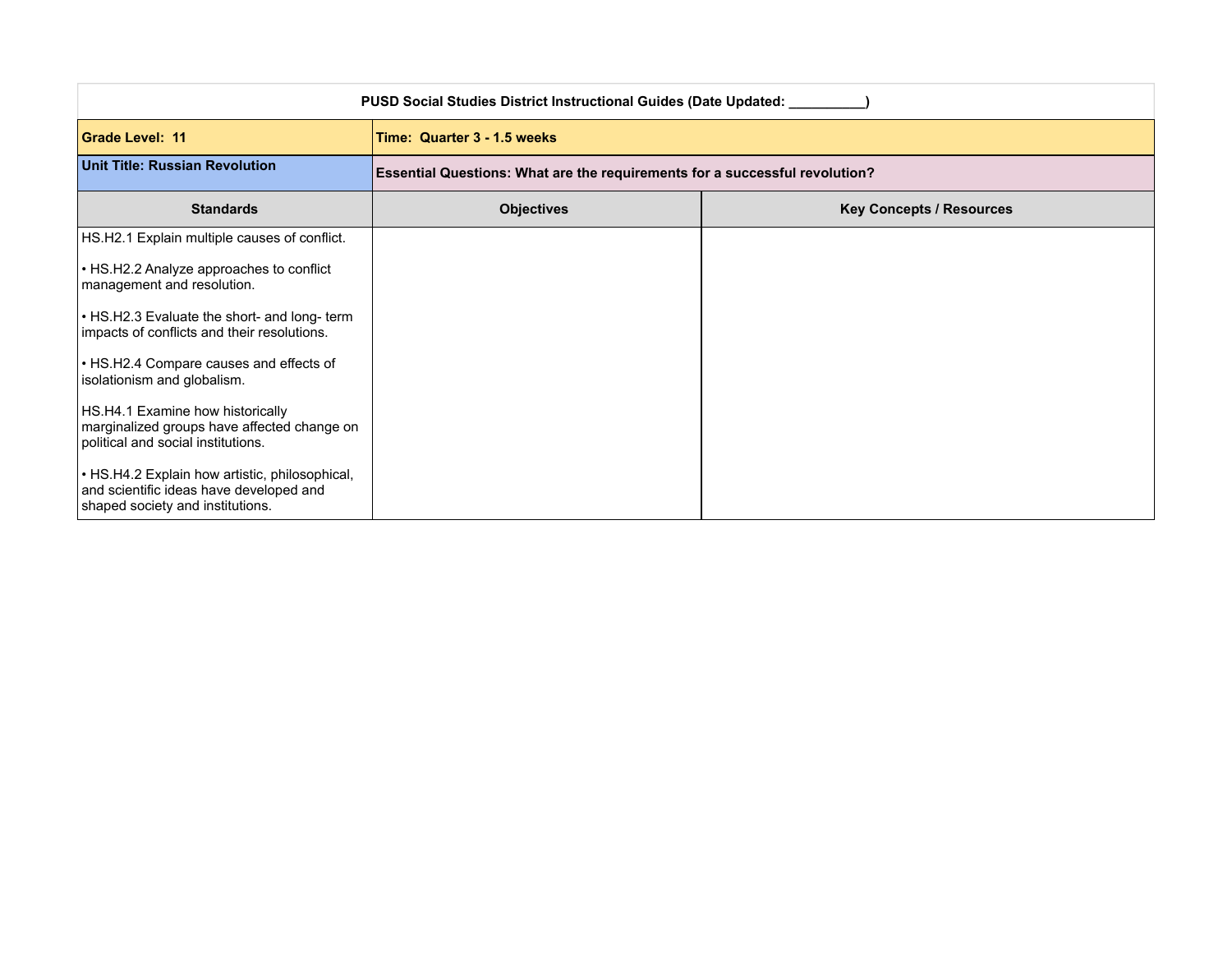| PUSD Social Studies District Instructional Guides (Date Updated: ____                                                         |                                                                             |                                 |
|-------------------------------------------------------------------------------------------------------------------------------|-----------------------------------------------------------------------------|---------------------------------|
| <b>Grade Level: 11</b>                                                                                                        | Time: Quarter 3 - 1.5 weeks                                                 |                                 |
| <b>Unit Title: Russian Revolution</b>                                                                                         | Essential Questions: What are the requirements for a successful revolution? |                                 |
| <b>Standards</b>                                                                                                              | <b>Objectives</b>                                                           | <b>Key Concepts / Resources</b> |
| HS.H2.1 Explain multiple causes of conflict.                                                                                  |                                                                             |                                 |
| • HS.H2.2 Analyze approaches to conflict<br>management and resolution.                                                        |                                                                             |                                 |
| • HS.H2.3 Evaluate the short- and long- term<br>impacts of conflicts and their resolutions.                                   |                                                                             |                                 |
| • HS.H2.4 Compare causes and effects of<br>isolationism and globalism.                                                        |                                                                             |                                 |
| HS.H4.1 Examine how historically<br>marginalized groups have affected change on<br>political and social institutions.         |                                                                             |                                 |
| • HS.H4.2 Explain how artistic, philosophical,<br>and scientific ideas have developed and<br>shaped society and institutions. |                                                                             |                                 |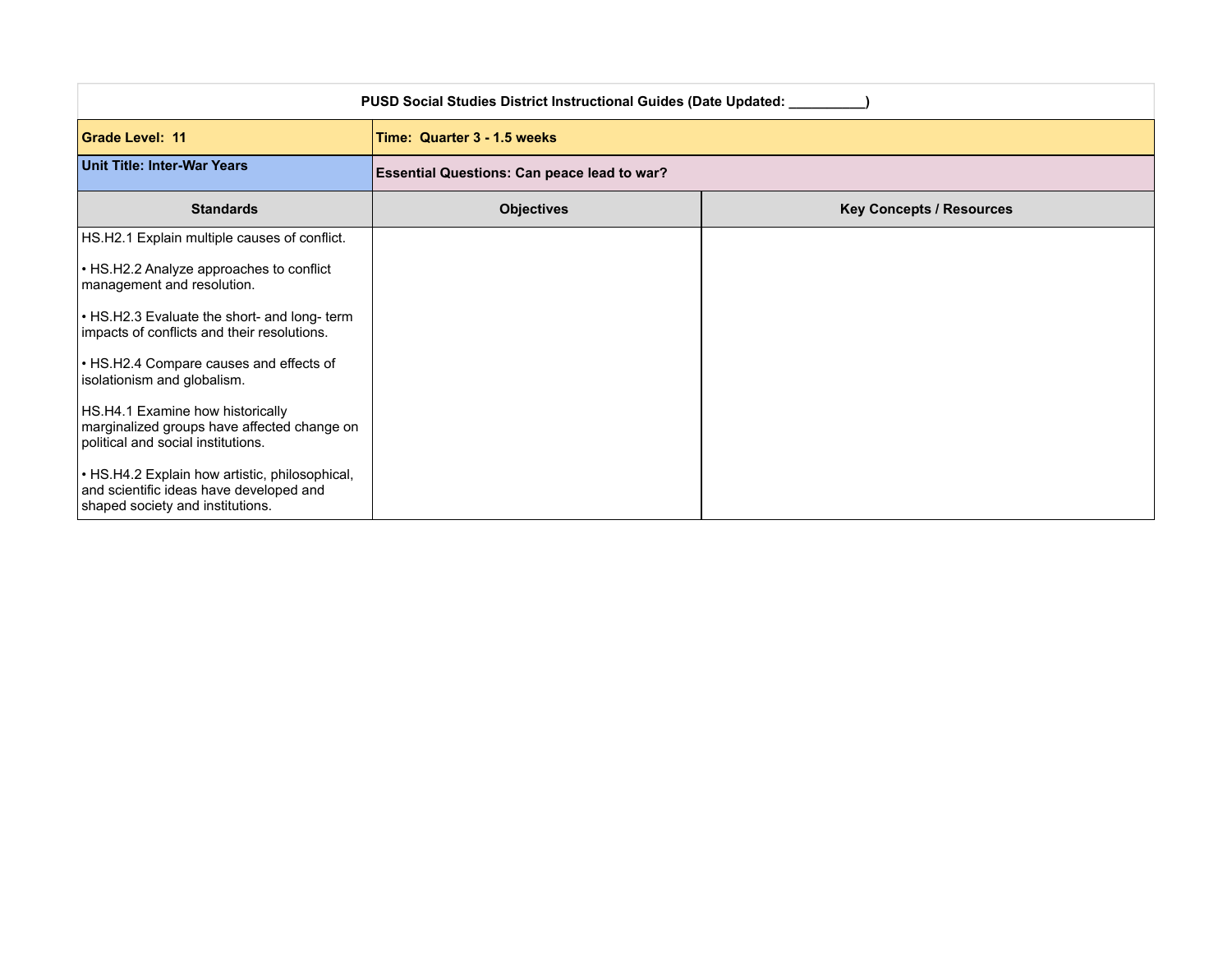| <b>PUSD Social Studies District Instructional Guides (Date Updated: __</b>                                                    |                                                    |                                 |
|-------------------------------------------------------------------------------------------------------------------------------|----------------------------------------------------|---------------------------------|
| <b>Grade Level: 11</b>                                                                                                        | Time: Quarter 3 - 1.5 weeks                        |                                 |
| Unit Title: Inter-War Years                                                                                                   | <b>Essential Questions: Can peace lead to war?</b> |                                 |
| <b>Standards</b>                                                                                                              | <b>Objectives</b>                                  | <b>Key Concepts / Resources</b> |
| HS.H2.1 Explain multiple causes of conflict.                                                                                  |                                                    |                                 |
| • HS.H2.2 Analyze approaches to conflict<br>management and resolution.                                                        |                                                    |                                 |
| • HS.H2.3 Evaluate the short- and long- term<br>impacts of conflicts and their resolutions.                                   |                                                    |                                 |
| • HS.H2.4 Compare causes and effects of<br>isolationism and globalism.                                                        |                                                    |                                 |
| HS.H4.1 Examine how historically<br>marginalized groups have affected change on<br>political and social institutions.         |                                                    |                                 |
| • HS.H4.2 Explain how artistic, philosophical,<br>and scientific ideas have developed and<br>shaped society and institutions. |                                                    |                                 |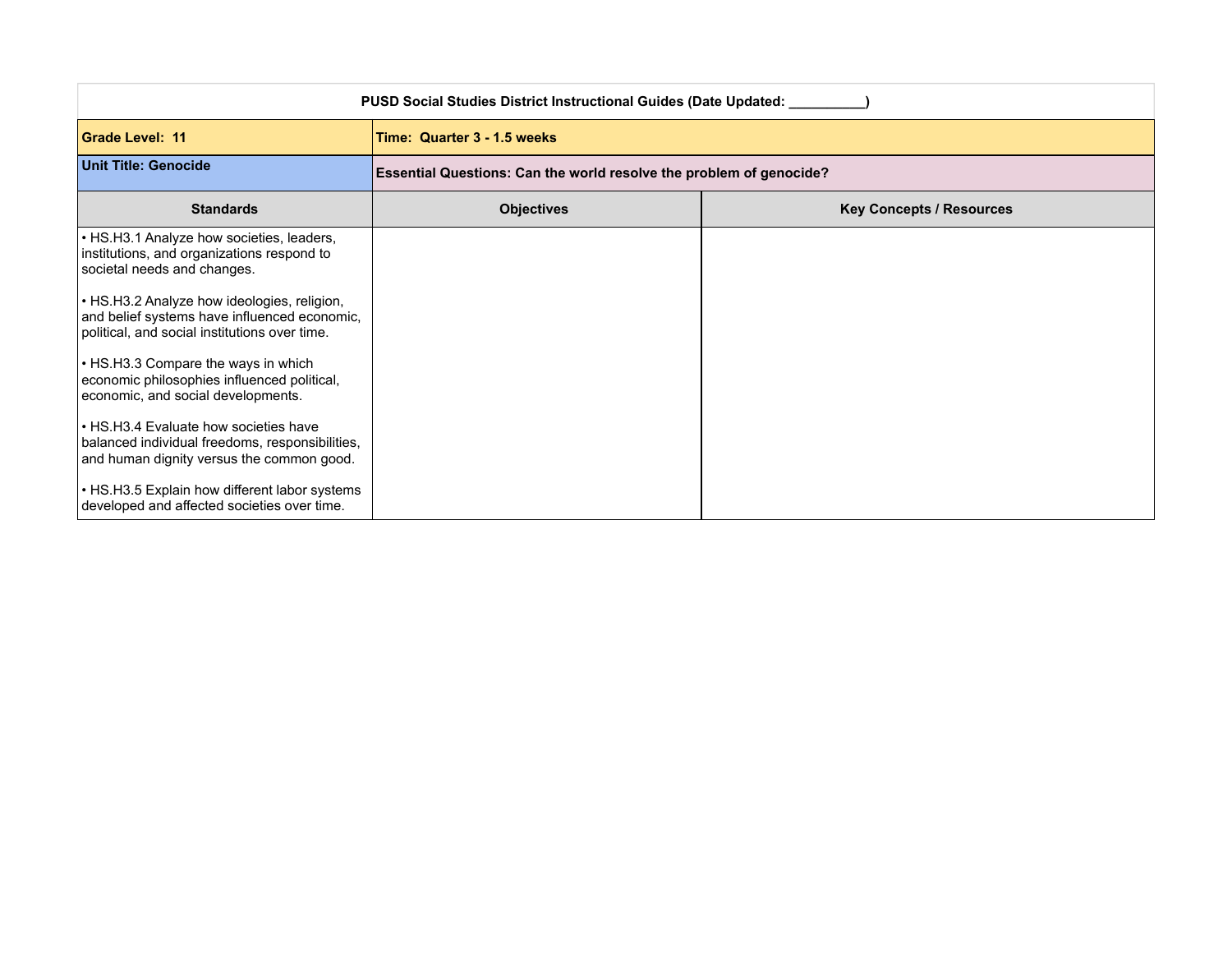| PUSD Social Studies District Instructional Guides (Date Updated: ____                                                                        |                                                                     |                                 |
|----------------------------------------------------------------------------------------------------------------------------------------------|---------------------------------------------------------------------|---------------------------------|
| <b>Grade Level: 11</b>                                                                                                                       | Time: Quarter 3 - 1.5 weeks                                         |                                 |
| Unit Title: Genocide                                                                                                                         | Essential Questions: Can the world resolve the problem of genocide? |                                 |
| <b>Standards</b>                                                                                                                             | <b>Objectives</b>                                                   | <b>Key Concepts / Resources</b> |
| • HS.H3.1 Analyze how societies, leaders,<br>institutions, and organizations respond to<br>societal needs and changes.                       |                                                                     |                                 |
| • HS.H3.2 Analyze how ideologies, religion,<br>and belief systems have influenced economic,<br>political, and social institutions over time. |                                                                     |                                 |
| • HS.H3.3 Compare the ways in which<br>economic philosophies influenced political,<br>economic, and social developments.                     |                                                                     |                                 |
| • HS.H3.4 Evaluate how societies have<br>balanced individual freedoms, responsibilities,<br>and human dignity versus the common good.        |                                                                     |                                 |
| • HS.H3.5 Explain how different labor systems<br>developed and affected societies over time.                                                 |                                                                     |                                 |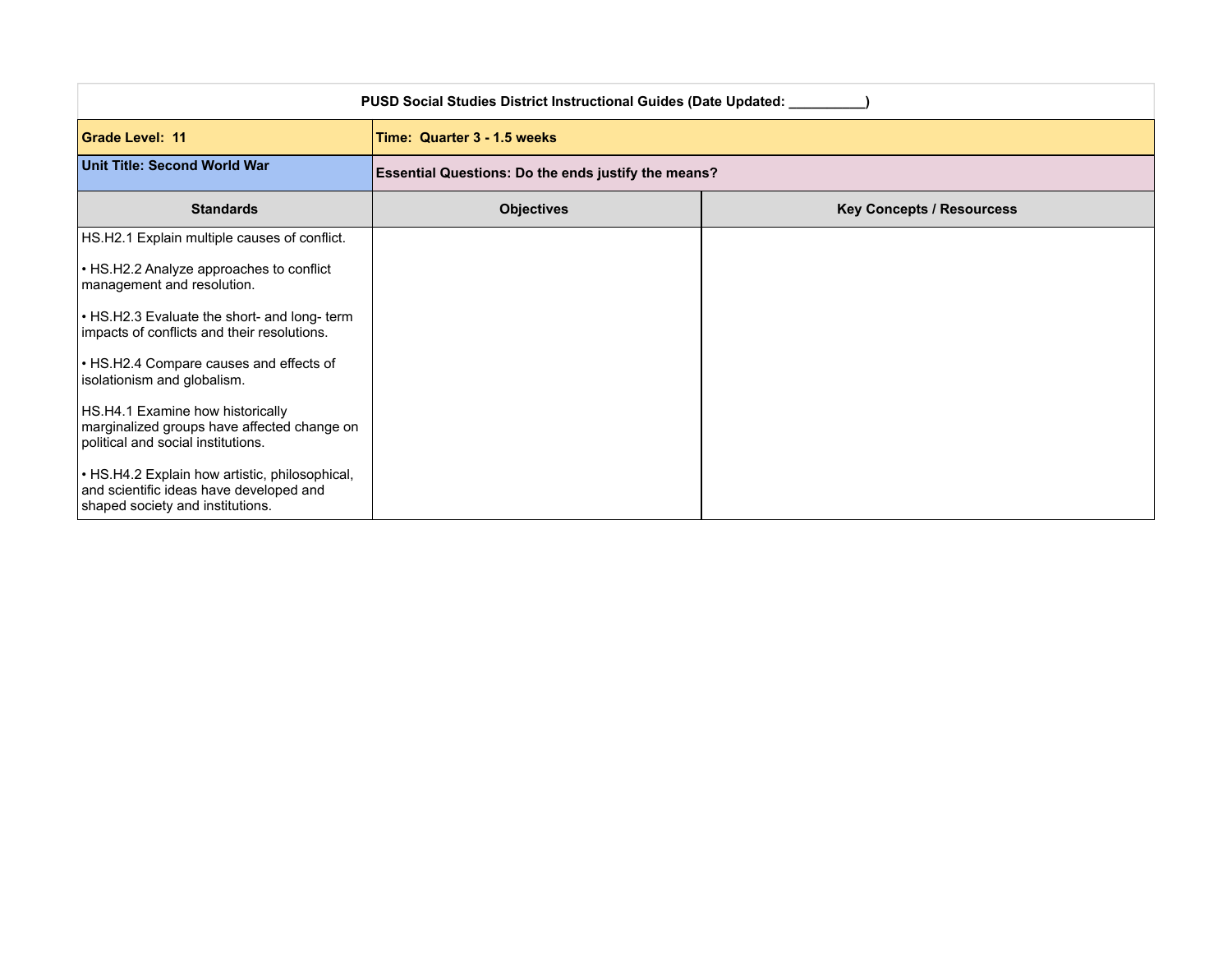| <b>PUSD Social Studies District Instructional Guides (Date Updated: __</b>                                                    |                                                            |                                  |  |
|-------------------------------------------------------------------------------------------------------------------------------|------------------------------------------------------------|----------------------------------|--|
| <b>Grade Level: 11</b>                                                                                                        | Time: Quarter 3 - 1.5 weeks                                |                                  |  |
| <b>Unit Title: Second World War</b>                                                                                           | <b>Essential Questions: Do the ends justify the means?</b> |                                  |  |
| <b>Standards</b>                                                                                                              | <b>Objectives</b>                                          | <b>Key Concepts / Resourcess</b> |  |
| HS.H2.1 Explain multiple causes of conflict.                                                                                  |                                                            |                                  |  |
| • HS.H2.2 Analyze approaches to conflict<br>management and resolution.                                                        |                                                            |                                  |  |
| • HS.H2.3 Evaluate the short- and long- term<br>impacts of conflicts and their resolutions.                                   |                                                            |                                  |  |
| • HS.H2.4 Compare causes and effects of<br>isolationism and globalism.                                                        |                                                            |                                  |  |
| HS.H4.1 Examine how historically<br>marginalized groups have affected change on<br>political and social institutions.         |                                                            |                                  |  |
| • HS.H4.2 Explain how artistic, philosophical,<br>and scientific ideas have developed and<br>shaped society and institutions. |                                                            |                                  |  |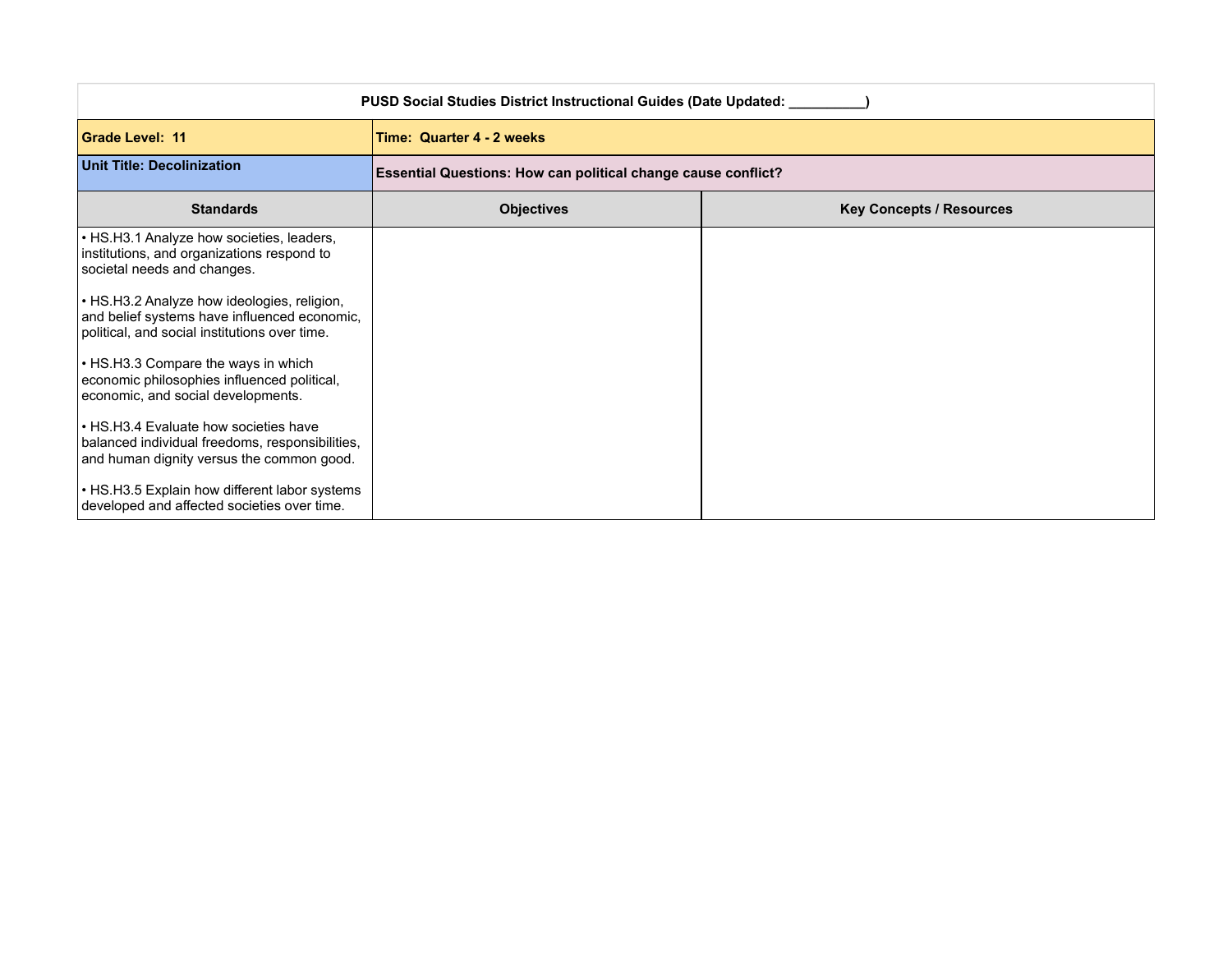| PUSD Social Studies District Instructional Guides (Date Updated: ____                                                                        |                                                               |                                 |  |  |
|----------------------------------------------------------------------------------------------------------------------------------------------|---------------------------------------------------------------|---------------------------------|--|--|
| <b>Grade Level: 11</b>                                                                                                                       | Time: Quarter 4 - 2 weeks                                     |                                 |  |  |
| <b>Unit Title: Decolinization</b>                                                                                                            | Essential Questions: How can political change cause conflict? |                                 |  |  |
| <b>Standards</b>                                                                                                                             | <b>Objectives</b>                                             | <b>Key Concepts / Resources</b> |  |  |
| • HS.H3.1 Analyze how societies, leaders,<br>institutions, and organizations respond to<br>societal needs and changes.                       |                                                               |                                 |  |  |
| • HS.H3.2 Analyze how ideologies, religion,<br>and belief systems have influenced economic,<br>political, and social institutions over time. |                                                               |                                 |  |  |
| • HS.H3.3 Compare the ways in which<br>economic philosophies influenced political,<br>economic, and social developments.                     |                                                               |                                 |  |  |
| • HS.H3.4 Evaluate how societies have<br>balanced individual freedoms, responsibilities,<br>and human dignity versus the common good.        |                                                               |                                 |  |  |
| • HS.H3.5 Explain how different labor systems<br>developed and affected societies over time.                                                 |                                                               |                                 |  |  |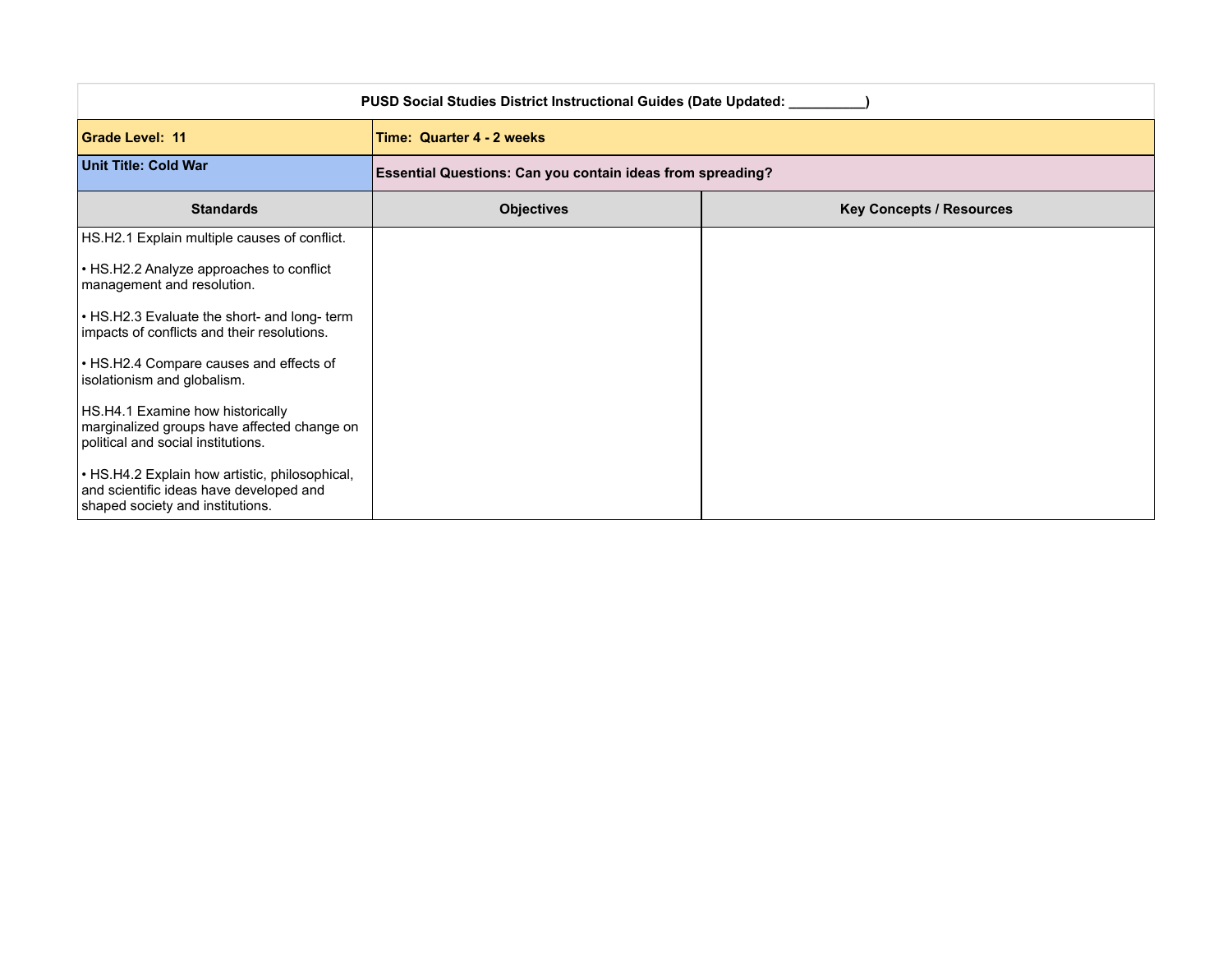| <b>PUSD Social Studies District Instructional Guides (Date Updated: __</b>                                                    |                                                                   |                                 |  |
|-------------------------------------------------------------------------------------------------------------------------------|-------------------------------------------------------------------|---------------------------------|--|
| <b>Grade Level: 11</b>                                                                                                        | Time: Quarter 4 - 2 weeks                                         |                                 |  |
| Unit Title: Cold War                                                                                                          | <b>Essential Questions: Can you contain ideas from spreading?</b> |                                 |  |
| <b>Standards</b>                                                                                                              | <b>Objectives</b>                                                 | <b>Key Concepts / Resources</b> |  |
| HS.H2.1 Explain multiple causes of conflict.                                                                                  |                                                                   |                                 |  |
| • HS.H2.2 Analyze approaches to conflict<br>management and resolution.                                                        |                                                                   |                                 |  |
| • HS.H2.3 Evaluate the short- and long- term<br>impacts of conflicts and their resolutions.                                   |                                                                   |                                 |  |
| • HS.H2.4 Compare causes and effects of<br>isolationism and globalism.                                                        |                                                                   |                                 |  |
| HS.H4.1 Examine how historically<br>marginalized groups have affected change on<br>political and social institutions.         |                                                                   |                                 |  |
| • HS.H4.2 Explain how artistic, philosophical,<br>and scientific ideas have developed and<br>shaped society and institutions. |                                                                   |                                 |  |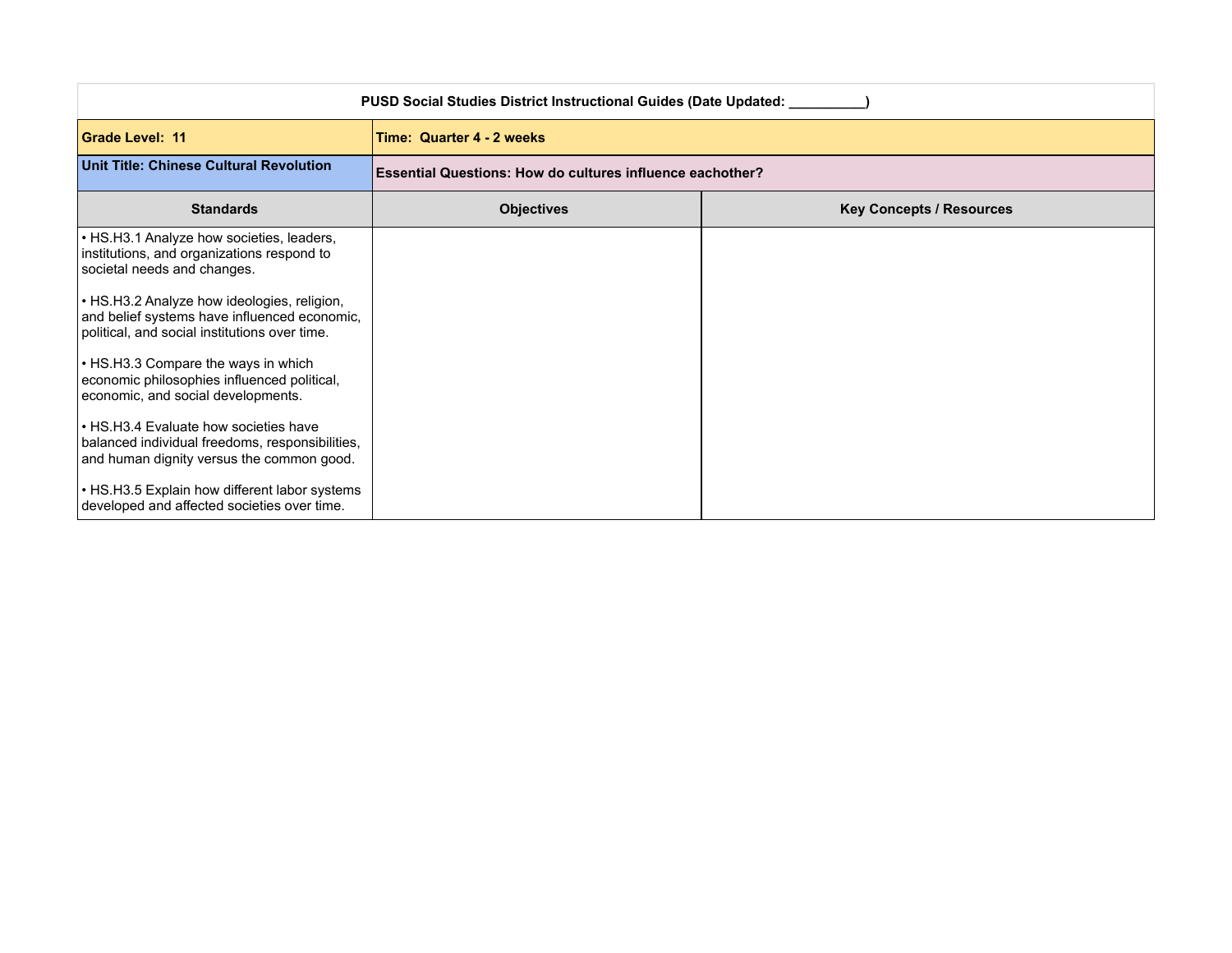| PUSD Social Studies District Instructional Guides (Date Updated:                                                                             |                                                                  |                                 |  |  |
|----------------------------------------------------------------------------------------------------------------------------------------------|------------------------------------------------------------------|---------------------------------|--|--|
| <b>Grade Level: 11</b>                                                                                                                       | Time: Quarter 4 - 2 weeks                                        |                                 |  |  |
| Unit Title: Chinese Cultural Revolution                                                                                                      | <b>Essential Questions: How do cultures influence eachother?</b> |                                 |  |  |
| <b>Standards</b>                                                                                                                             | <b>Objectives</b>                                                | <b>Key Concepts / Resources</b> |  |  |
| • HS.H3.1 Analyze how societies, leaders,<br>institutions, and organizations respond to<br>societal needs and changes.                       |                                                                  |                                 |  |  |
| • HS.H3.2 Analyze how ideologies, religion,<br>and belief systems have influenced economic,<br>political, and social institutions over time. |                                                                  |                                 |  |  |
| • HS.H3.3 Compare the ways in which<br>economic philosophies influenced political,<br>economic, and social developments.                     |                                                                  |                                 |  |  |
| • HS.H3.4 Evaluate how societies have<br>balanced individual freedoms, responsibilities,<br>and human dignity versus the common good.        |                                                                  |                                 |  |  |
| • HS.H3.5 Explain how different labor systems<br>developed and affected societies over time.                                                 |                                                                  |                                 |  |  |